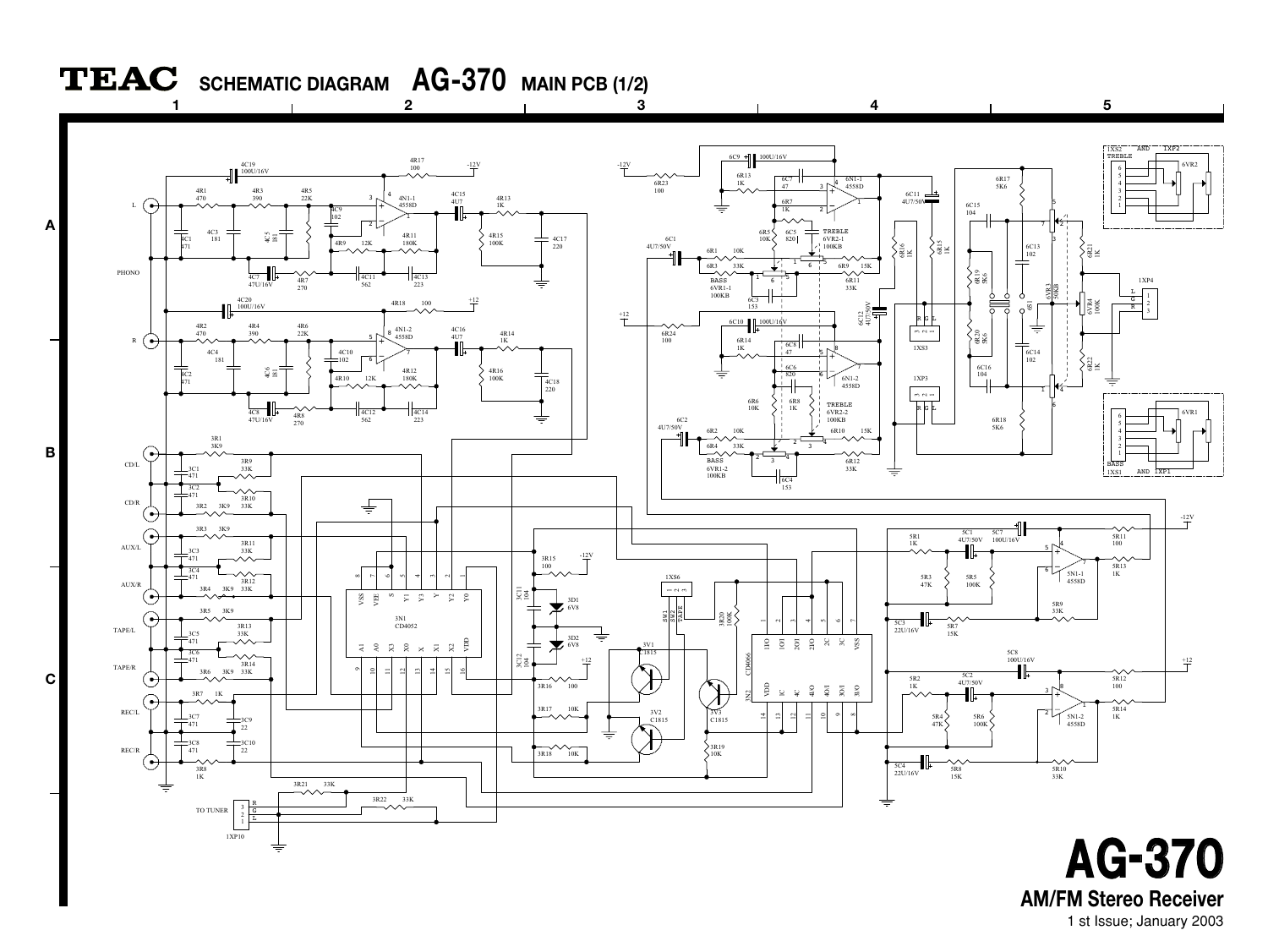

**AM/FM Stereo Receiver**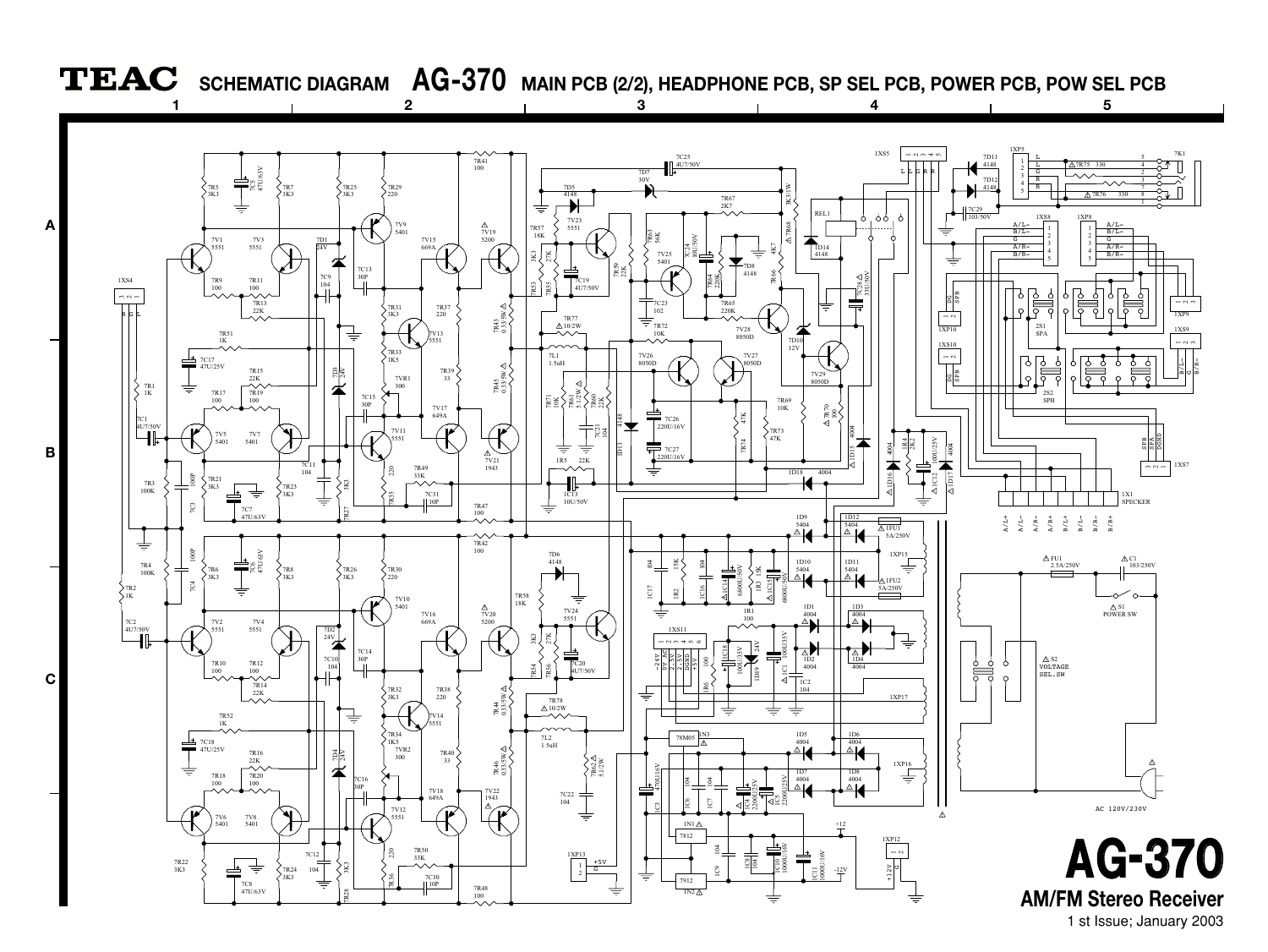

1 st Issue; January 2003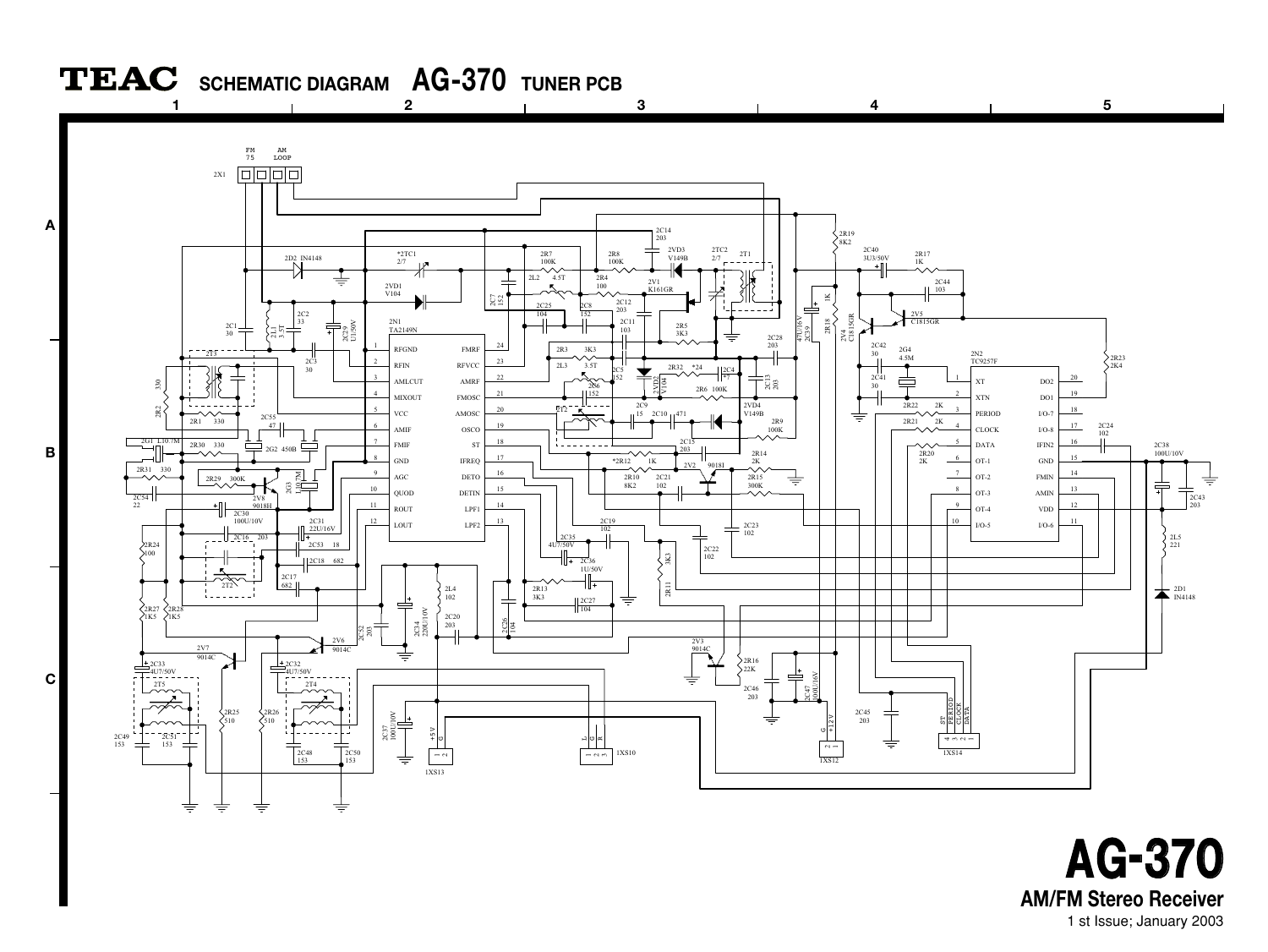

1 st Issue; January 2003 **AM/FM Stereo Receiver AG-370**